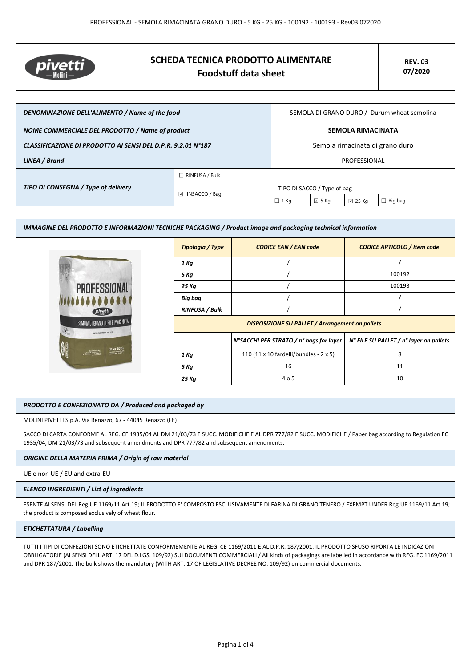

# **SCHEDA TECNICA PRODOTTO ALIMENTARE Foodstuff data sheet**

| DENOMINAZIONE DELL'ALIMENTO / Name of the food               |                       | SEMOLA DI GRANO DURO / Durum wheat semolina |                |                 |         |
|--------------------------------------------------------------|-----------------------|---------------------------------------------|----------------|-----------------|---------|
| NOME COMMERCIALE DEL PRODOTTO / Name of product              |                       | <b>SEMOLA RIMACINATA</b>                    |                |                 |         |
| CLASSIFICAZIONE DI PRODOTTO AI SENSI DEL D.P.R. 9.2.01 N°187 |                       | Semola rimacinata di grano duro             |                |                 |         |
| LINEA / Brand                                                |                       | PROFESSIONAL                                |                |                 |         |
| TIPO DI CONSEGNA / Type of delivery                          | $\Box$ RINFUSA / Bulk |                                             |                |                 |         |
|                                                              | □ INSACCO / Bag       | TIPO DI SACCO / Type of bag                 |                |                 |         |
|                                                              |                       | $\Box$ 1 Kg                                 | $\boxdot$ 5 Kg | $\boxdot$ 25 Kg | Big bag |

| IMMAGINE DEL PRODOTTO E INFORMAZIONI TECNICHE PACKAGING / Product image and packaging technical information |                                                        |                                         |                                         |  |
|-------------------------------------------------------------------------------------------------------------|--------------------------------------------------------|-----------------------------------------|-----------------------------------------|--|
|                                                                                                             | Tipologia / Type                                       | <b>CODICE EAN / EAN code</b>            | <b>CODICE ARTICOLO / Item code</b>      |  |
|                                                                                                             | 1 Kg                                                   |                                         |                                         |  |
|                                                                                                             | 5 Kg                                                   |                                         | 100192                                  |  |
| <b>PROFESSIONAL</b>                                                                                         | 25 Kg                                                  |                                         | 100193                                  |  |
|                                                                                                             | Big bag                                                |                                         |                                         |  |
| pivetti                                                                                                     | <b>RINFUSA / Bulk</b>                                  |                                         |                                         |  |
| SEMOLA DI GRANO DURO RIMACINATA                                                                             | <b>DISPOSIZIONE SU PALLET / Arrangement on pallets</b> |                                         |                                         |  |
| SAPER FAIR FARISA DAL 1875                                                                                  |                                                        | N°SACCHI PER STRATO / n° bags for layer | N° FILE SU PALLET / n° layer on pallets |  |
| 25 kg (55lb).                                                                                               | 1 Kg                                                   | 110 (11 x 10 fardelli/bundles - 2 x 5)  | 8                                       |  |
|                                                                                                             | 5 Kg                                                   | 16                                      | 11                                      |  |
|                                                                                                             | 25 Kg                                                  | 4 o 5                                   | 10                                      |  |

## *PRODOTTO E CONFEZIONATO DA / Produced and packaged by*

MOLINI PIVETTI S.p.A. Via Renazzo, 67 - 44045 Renazzo (FE)

SACCO DI CARTA CONFORME AL REG. CE 1935/04 AL DM 21/03/73 E SUCC. MODIFICHE E AL DPR 777/82 E SUCC. MODIFICHE / Paper bag according to Regulation EC 1935/04, DM 21/03/73 and subsequent amendments and DPR 777/82 and subsequent amendments.

### *ORIGINE DELLA MATERIA PRIMA / Origin of raw material*

UE e non UE / EU and extra-EU

#### *ELENCO INGREDIENTI / List of ingredients*

ESENTE AI SENSI DEL Reg.UE 1169/11 Art.19; IL PRODOTTO E' COMPOSTO ESCLUSIVAMENTE DI FARINA DI GRANO TENERO / EXEMPT UNDER Reg.UE 1169/11 Art.19; the product is composed exclusively of wheat flour.

#### *ETICHETTATURA / Labelling*

TUTTI I TIPI DI CONFEZIONI SONO ETICHETTATE CONFORMEMENTE AL REG. CE 1169/2011 E AL D.P.R. 187/2001. IL PRODOTTO SFUSO RIPORTA LE INDICAZIONI OBBLIGATORIE (AI SENSI DELL'ART. 17 DEL D.LGS. 109/92) SUI DOCUMENTI COMMERCIALI / All kinds of packagings are labelled in accordance with REG. EC 1169/2011 and DPR 187/2001. The bulk shows the mandatory (WITH ART. 17 OF LEGISLATIVE DECREE NO. 109/92) on commercial documents.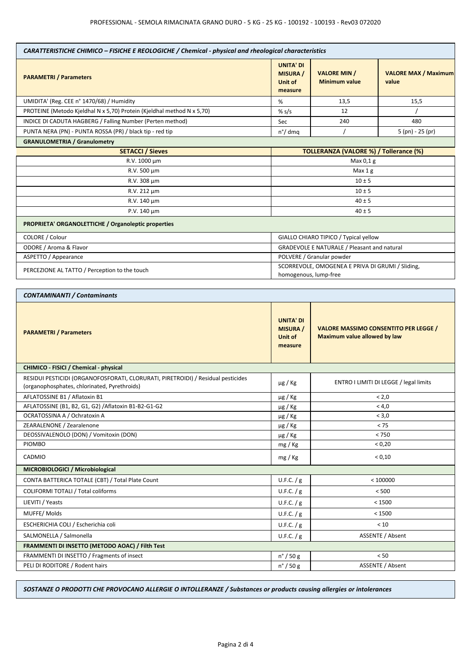| CARATTERISTICHE CHIMICO - FISICHE E REOLOGICHE / Chemical - physical and rheological characteristics                             |                                                           |                                                                              |                                        |  |
|----------------------------------------------------------------------------------------------------------------------------------|-----------------------------------------------------------|------------------------------------------------------------------------------|----------------------------------------|--|
| <b>PARAMETRI / Parameters</b>                                                                                                    | <b>UNITA' DI</b><br><b>MISURA /</b><br>Unit of<br>measure | <b>VALORE MIN /</b><br><b>Minimum value</b>                                  | <b>VALORE MAX / Maximum</b><br>value   |  |
| UMIDITA' (Reg. CEE n° 1470/68) / Humidity                                                                                        | %                                                         | 13,5                                                                         | 15,5                                   |  |
| PROTEINE (Metodo Kjeldhal N x 5,70) Protein (Kjeldhal method N x 5,70)                                                           | % $s/s$                                                   | 12                                                                           |                                        |  |
| INDICE DI CADUTA HAGBERG / Falling Number (Perten method)                                                                        | Sec                                                       | 240                                                                          | 480                                    |  |
| PUNTA NERA (PN) - PUNTA ROSSA (PR) / black tip - red tip                                                                         | $n^{\circ}/$ dmq                                          |                                                                              | $5$ (pn) - 25 (pr)                     |  |
| <b>GRANULOMETRIA / Granulometry</b>                                                                                              |                                                           |                                                                              |                                        |  |
| <b>SETACCI / Sieves</b>                                                                                                          |                                                           | <b>TOLLERANZA (VALORE %) / Tollerance (%)</b>                                |                                        |  |
| R.V. 1000 µm                                                                                                                     |                                                           | Max $0,1$ g                                                                  |                                        |  |
| R.V. 500 µm                                                                                                                      |                                                           | Max <sub>1</sub> g                                                           |                                        |  |
| R.V. 308 µm                                                                                                                      |                                                           | $10 \pm 5$                                                                   |                                        |  |
| R.V. 212 µm                                                                                                                      |                                                           | $10 \pm 5$                                                                   |                                        |  |
| R.V. 140 µm                                                                                                                      |                                                           | $40 \pm 5$                                                                   |                                        |  |
| P.V. 140 µm                                                                                                                      |                                                           | $40 \pm 5$                                                                   |                                        |  |
| PROPRIETA' ORGANOLETTICHE / Organoleptic properties                                                                              |                                                           |                                                                              |                                        |  |
| COLORE / Colour                                                                                                                  |                                                           | GIALLO CHIARO TIPICO / Typical yellow                                        |                                        |  |
| ODORE / Aroma & Flavor                                                                                                           |                                                           | GRADEVOLE E NATURALE / Pleasant and natural                                  |                                        |  |
| ASPETTO / Appearance                                                                                                             |                                                           | POLVERE / Granular powder                                                    |                                        |  |
| PERCEZIONE AL TATTO / Perception to the touch                                                                                    |                                                           | SCORREVOLE, OMOGENEA E PRIVA DI GRUMI / Sliding,<br>homogenous, lump-free    |                                        |  |
| <b>CONTAMINANTI / Contaminants</b>                                                                                               |                                                           |                                                                              |                                        |  |
| <b>PARAMETRI / Parameters</b>                                                                                                    | <b>UNITA' DI</b><br><b>MISURA</b> /<br>Unit of<br>measure | <b>VALORE MASSIMO CONSENTITO PER LEGGE /</b><br>Maximum value allowed by law |                                        |  |
| CHIMICO - FISICI / Chemical - physical                                                                                           |                                                           |                                                                              |                                        |  |
| RESIDUI PESTICIDI (ORGANOFOSFORATI, CLORURATI, PIRETROIDI) / Residual pesticides<br>(organophosphates, chlorinated, Pyrethroids) | $\mu$ g / Kg                                              |                                                                              | ENTRO I LIMITI DI LEGGE / legal limits |  |
| AFLATOSSINE B1 / Aflatoxin B1                                                                                                    | $\mu$ g / Kg                                              | < 2.0                                                                        |                                        |  |
| AFLATOSSINE (B1, B2, G1, G2) / Aflatoxin B1-B2-G1-G2                                                                             | $\mu$ g / Kg                                              | < 4,0                                                                        |                                        |  |
| OCRATOSSINA A / Ochratoxin A                                                                                                     | $\mu$ g / Kg                                              | < 3,0                                                                        |                                        |  |
| ZEARALENONE / Zearalenone                                                                                                        | $\mu$ g / Kg                                              | $< 75$                                                                       |                                        |  |
| DEOSSIVALENOLO (DON) / Vomitoxin (DON)                                                                                           | $\mu$ g / Kg                                              | $< 750$                                                                      |                                        |  |
| <b>PIOMBO</b>                                                                                                                    | mg/Kg                                                     |                                                                              | < 0,20                                 |  |
| CADMIO                                                                                                                           | mg / Kg                                                   |                                                                              | < 0,10                                 |  |
| MICROBIOLOGICI / Microbiological                                                                                                 |                                                           |                                                                              |                                        |  |
| CONTA BATTERICA TOTALE (CBT) / Total Plate Count                                                                                 | U.F.C. / g                                                |                                                                              | < 100000                               |  |
| <b>COLIFORMI TOTALI / Total coliforms</b>                                                                                        | U.F.C. / g                                                | < 500                                                                        |                                        |  |
| LIEVITI / Yeasts                                                                                                                 | U.F.C. / g                                                | < 1500                                                                       |                                        |  |
| MUFFE/Molds                                                                                                                      | U.F.C. / g                                                | < 1500                                                                       |                                        |  |
| ESCHERICHIA COLI / Escherichia coli                                                                                              | U.F.C. / g                                                | < 10                                                                         |                                        |  |
| SALMONELLA / Salmonella                                                                                                          | U.F.C. / g<br>ASSENTE / Absent                            |                                                                              |                                        |  |
| FRAMMENTI DI INSETTO (METODO AOAC) / Filth Test                                                                                  |                                                           |                                                                              |                                        |  |
| FRAMMENTI DI INSETTO / Fragments of insect                                                                                       | $n^{\circ}$ / 50 g                                        |                                                                              | < 50                                   |  |
| PELI DI RODITORE / Rodent hairs                                                                                                  | $n^{\circ}$ / 50 g                                        | ASSENTE / Absent                                                             |                                        |  |

*SOSTANZE O PRODOTTI CHE PROVOCANO ALLERGIE O INTOLLERANZE / Substances or products causing allergies or intolerances*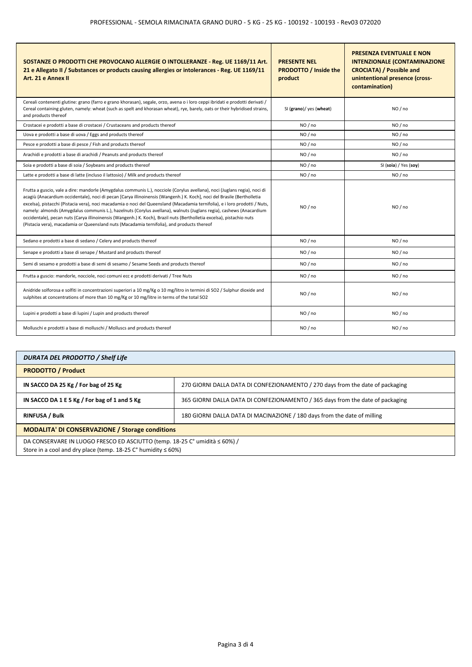| SOSTANZE O PRODOTTI CHE PROVOCANO ALLERGIE O INTOLLERANZE - Reg. UE 1169/11 Art.<br>21 e Allegato II / Substances or products causing allergies or intolerances - Reg. UE 1169/11<br>Art. 21 e Annex II                                                                                                                                                                                                                                                                                                                                                                                                                                                                                                                            | <b>PRESENTE NEL</b><br><b>PRODOTTO / Inside the</b><br>product | <b>PRESENZA EVENTUALE E NON</b><br><b>INTENZIONALE (CONTAMINAZIONE</b><br><b>CROCIATA) / Possible and</b><br>unintentional presence (cross-<br>contamination) |
|------------------------------------------------------------------------------------------------------------------------------------------------------------------------------------------------------------------------------------------------------------------------------------------------------------------------------------------------------------------------------------------------------------------------------------------------------------------------------------------------------------------------------------------------------------------------------------------------------------------------------------------------------------------------------------------------------------------------------------|----------------------------------------------------------------|---------------------------------------------------------------------------------------------------------------------------------------------------------------|
| Cereali contenenti glutine: grano (farro e grano khorasan), segale, orzo, avena o i loro ceppi ibridati e prodotti derivati /<br>Cereal containing gluten, namely: wheat (such as spelt and khorasan wheat), rye, barely, oats or their hybridised strains,<br>and products thereof                                                                                                                                                                                                                                                                                                                                                                                                                                                | SI (grano)/ yes (wheat)                                        | NO / no                                                                                                                                                       |
| Crostacei e prodotti a base di crostacei / Crustaceans and products thereof                                                                                                                                                                                                                                                                                                                                                                                                                                                                                                                                                                                                                                                        | NO / no                                                        | NO / no                                                                                                                                                       |
| Uova e prodotti a base di uova / Eggs and products thereof                                                                                                                                                                                                                                                                                                                                                                                                                                                                                                                                                                                                                                                                         | NO/no                                                          | NO/no                                                                                                                                                         |
| Pesce e prodotti a base di pesce / Fish and products thereof                                                                                                                                                                                                                                                                                                                                                                                                                                                                                                                                                                                                                                                                       | NO / no                                                        | NO / no                                                                                                                                                       |
| Arachidi e prodotti a base di arachidi / Peanuts and products thereof                                                                                                                                                                                                                                                                                                                                                                                                                                                                                                                                                                                                                                                              | NO/no                                                          | NO / no                                                                                                                                                       |
| Soia e prodotti a base di soia / Soybeans and products thereof                                                                                                                                                                                                                                                                                                                                                                                                                                                                                                                                                                                                                                                                     | NO / no                                                        | SI (soia) / Yes (soy)                                                                                                                                         |
| Latte e prodotti a base di latte (incluso il lattosio) / Milk and products thereof                                                                                                                                                                                                                                                                                                                                                                                                                                                                                                                                                                                                                                                 | NO/no                                                          | NO/no                                                                                                                                                         |
| Frutta a guscio, vale a dire: mandorle (Amygdalus communis L.), nocciole (Corylus avellana), noci (Juglans regia), noci di<br>acagiù (Anacardium occidentale), noci di pecan [Carya illinoinensis (Wangenh.) K. Koch], noci del Brasile (Bertholletia<br>excelsa), pistacchi (Pistacia vera), noci macadamia o noci del Queensland (Macadamia ternifolia), e i loro prodotti / Nuts,<br>namely: almonds (Amygdalus communis L.), hazelnuts (Corylus avellana), walnuts (Juglans regia), cashews (Anacardium<br>occidentale), pecan nuts (Carya illinoinensis (Wangenh.) K. Koch), Brazil nuts (Bertholletia excelsa), pistachio nuts<br>(Pistacia vera), macadamia or Queensland nuts (Macadamia ternifolia), and products thereof | NO / no                                                        | NO / no                                                                                                                                                       |
| Sedano e prodotti a base di sedano / Celery and products thereof                                                                                                                                                                                                                                                                                                                                                                                                                                                                                                                                                                                                                                                                   | NO / no                                                        | NO / no                                                                                                                                                       |
| Senape e prodotti a base di senape / Mustard and products thereof                                                                                                                                                                                                                                                                                                                                                                                                                                                                                                                                                                                                                                                                  | NO/no                                                          | NO/no                                                                                                                                                         |
| Semi di sesamo e prodotti a base di semi di sesamo / Sesame Seeds and products thereof                                                                                                                                                                                                                                                                                                                                                                                                                                                                                                                                                                                                                                             | NO/no                                                          | NO/no                                                                                                                                                         |
| Frutta a guscio: mandorle, nocciole, noci comuni ecc e prodotti derivati / Tree Nuts                                                                                                                                                                                                                                                                                                                                                                                                                                                                                                                                                                                                                                               | NO / no                                                        | NO / no                                                                                                                                                       |
| Anidride solforosa e solfiti in concentrazioni superiori a 10 mg/Kg o 10 mg/litro in termini di SO2 / Sulphur dioxide and<br>sulphites at concentrations of more than 10 mg/Kg or 10 mg/litre in terms of the total SO2                                                                                                                                                                                                                                                                                                                                                                                                                                                                                                            | NO/no                                                          | NO / no                                                                                                                                                       |
| Lupini e prodotti a base di lupini / Lupin and products thereof                                                                                                                                                                                                                                                                                                                                                                                                                                                                                                                                                                                                                                                                    | NO/no                                                          | NO/no                                                                                                                                                         |
| Molluschi e prodotti a base di molluschi / Molluscs and products thereof                                                                                                                                                                                                                                                                                                                                                                                                                                                                                                                                                                                                                                                           | NO / no                                                        | NO / no                                                                                                                                                       |

| <b>DURATA DEL PRODOTTO / Shelf Life</b>                                                                                                    |                                                                                |  |
|--------------------------------------------------------------------------------------------------------------------------------------------|--------------------------------------------------------------------------------|--|
| <b>PRODOTTO / Product</b>                                                                                                                  |                                                                                |  |
| IN SACCO DA 25 Kg / For bag of 25 Kg                                                                                                       | 270 GIORNI DALLA DATA DI CONFEZIONAMENTO / 270 days from the date of packaging |  |
| IN SACCO DA 1 E 5 Kg / For bag of 1 and 5 Kg                                                                                               | 365 GIORNI DALLA DATA DI CONFEZIONAMENTO / 365 days from the date of packaging |  |
| <b>RINFUSA / Bulk</b>                                                                                                                      | 180 GIORNI DALLA DATA DI MACINAZIONE / 180 days from the date of milling       |  |
| <b>MODALITA' DI CONSERVAZIONE / Storage conditions</b>                                                                                     |                                                                                |  |
| DA CONSERVARE IN LUOGO FRESCO ED ASCIUTTO (temp. 18-25 C° umidità ≤ 60%) /<br>Store in a cool and dry place (temp. 18-25 ℃ humidity ≤ 60%) |                                                                                |  |